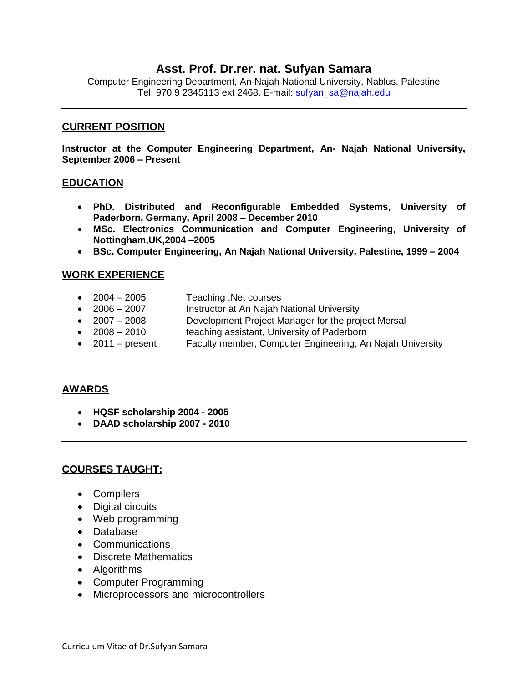# **Asst. Prof. Dr.rer. nat. Sufyan Samara**

Computer Engineering Department, An-Najah National University, Nablus, Palestine Tel: 970 9 2345113 ext 2468. E-mail: [sufyan\\_sa@najah.edu](mailto:sufyan_sa@najah.edu)

#### **CURRENT POSITION**

**Instructor at the Computer Engineering Department, An- Najah National University, September 2006 – Present**

#### **EDUCATION**

- **PhD. Distributed and Reconfigurable Embedded Systems, University of Paderborn, Germany, April 2008 – December 2010**
- **MSc. Electronics Communication and Computer Engineering**, **University of Nottingham,UK,2004 –2005**
- **BSc. Computer Engineering, An Najah National University, Palestine, 1999 – 2004**

#### **WORK EXPERIENCE**

- 2004 2005 Teaching .Net courses
- 2006 2007 Instructor at An Najah National University
- 2007 2008 Development Project Manager for the project Mersal
- 2008 2010 teaching assistant, University of Paderborn
- 2011 present Faculty member, Computer Engineering, An Najah University

## **AWARDS**

- **HQSF scholarship 2004 - 2005**
- **DAAD scholarship 2007 - 2010**

## **COURSES TAUGHT:**

- Compilers
- Digital circuits
- Web programming
- Database
- Communications
- Discrete Mathematics
- Algorithms
- Computer Programming
- Microprocessors and microcontrollers